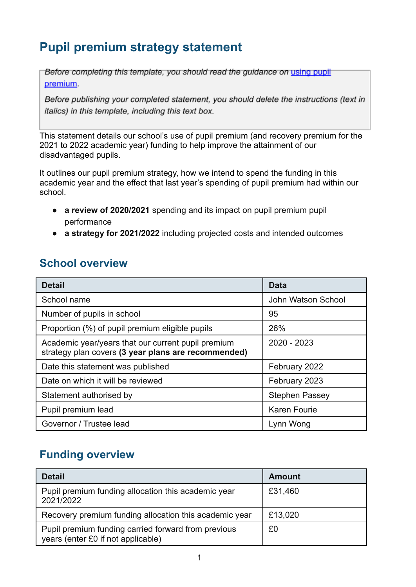# **Pupil premium strategy statement**

Before completing this template, you should read the guidance on using pupil premium.

Before publishing your completed statement, you should delete the instructions (text in italics) in this template, including this text box.

This statement details our school's use of pupil premium (and recovery premium for the 2021 to 2022 academic year) funding to help improve the attainment of our disadvantaged pupils.

It outlines our pupil premium strategy, how we intend to spend the funding in this academic year and the effect that last year's spending of pupil premium had within our school.

- **a review of 2020/2021** spending and its impact on pupil premium pupil performance
- **a strategy for 2021/2022** including projected costs and intended outcomes

#### **School overview**

| <b>Detail</b>                                                                                             | <b>Data</b>           |
|-----------------------------------------------------------------------------------------------------------|-----------------------|
| School name                                                                                               | John Watson School    |
| Number of pupils in school                                                                                | 95                    |
| Proportion (%) of pupil premium eligible pupils                                                           | 26%                   |
| Academic year/years that our current pupil premium<br>strategy plan covers (3 year plans are recommended) | 2020 - 2023           |
| Date this statement was published                                                                         | February 2022         |
| Date on which it will be reviewed                                                                         | February 2023         |
| Statement authorised by                                                                                   | <b>Stephen Passey</b> |
| Pupil premium lead                                                                                        | <b>Karen Fourie</b>   |
| Governor / Trustee lead                                                                                   | Lynn Wong             |

# **Funding overview**

| <b>Detail</b>                                                                             | <b>Amount</b> |
|-------------------------------------------------------------------------------------------|---------------|
| Pupil premium funding allocation this academic year<br>2021/2022                          | £31,460       |
| Recovery premium funding allocation this academic year                                    | £13,020       |
| Pupil premium funding carried forward from previous<br>years (enter £0 if not applicable) | £0            |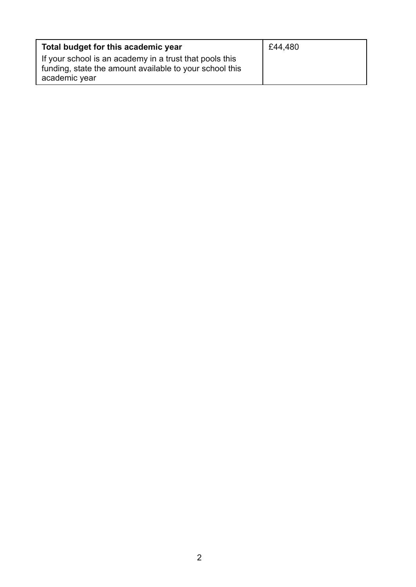| Total budget for this academic year                                                                                                 | £44,480 |
|-------------------------------------------------------------------------------------------------------------------------------------|---------|
| If your school is an academy in a trust that pools this<br>funding, state the amount available to your school this<br>academic year |         |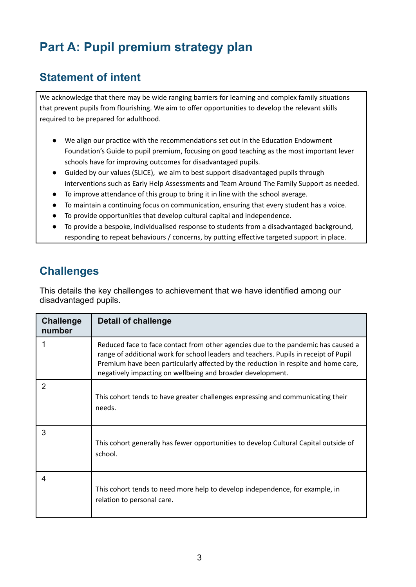# **Part A: Pupil premium strategy plan**

#### **Statement of intent**

We acknowledge that there may be wide ranging barriers for learning and complex family situations that prevent pupils from flourishing. We aim to offer opportunities to develop the relevant skills required to be prepared for adulthood.

- We align our practice with the recommendations set out in the Education Endowment Foundation's Guide to pupil premium, focusing on good teaching as the most important lever schools have for improving outcomes for disadvantaged pupils.
- Guided by our values (SLICE), we aim to best support disadvantaged pupils through interventions such as Early Help Assessments and Team Around The Family Support as needed.
- To improve attendance of this group to bring it in line with the school average.
- To maintain a continuing focus on communication, ensuring that every student has a voice.
- To provide opportunities that develop cultural capital and independence.
- To provide a bespoke, individualised response to students from a disadvantaged background, responding to repeat behaviours / concerns, by putting effective targeted support in place.

#### **Challenges**

This details the key challenges to achievement that we have identified among our disadvantaged pupils.

| <b>Challenge</b><br>number | Detail of challenge                                                                                                                                                                                                                                                                                                           |
|----------------------------|-------------------------------------------------------------------------------------------------------------------------------------------------------------------------------------------------------------------------------------------------------------------------------------------------------------------------------|
| 1                          | Reduced face to face contact from other agencies due to the pandemic has caused a<br>range of additional work for school leaders and teachers. Pupils in receipt of Pupil<br>Premium have been particularly affected by the reduction in respite and home care,<br>negatively impacting on wellbeing and broader development. |
| 2                          | This cohort tends to have greater challenges expressing and communicating their<br>needs.                                                                                                                                                                                                                                     |
| 3                          | This cohort generally has fewer opportunities to develop Cultural Capital outside of<br>school.                                                                                                                                                                                                                               |
| 4                          | This cohort tends to need more help to develop independence, for example, in<br>relation to personal care.                                                                                                                                                                                                                    |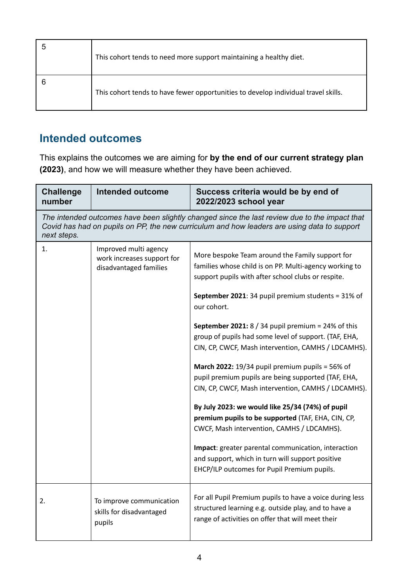| This cohort tends to need more support maintaining a healthy diet.                 |
|------------------------------------------------------------------------------------|
| This cohort tends to have fewer opportunities to develop individual travel skills. |

# **Intended outcomes**

This explains the outcomes we are aiming for **by the end of our current strategy plan (2023)**, and how we will measure whether they have been achieved.

| <b>Challenge</b><br>number                                                                                                                                                                                  | <b>Intended outcome</b>                                                       | Success criteria would be by end of<br>2022/2023 school year                                                                                                                                                                                                                                                                                                                                                                                                                                                                                                                                                                                                                                                                                                                                                                                                                                    |
|-------------------------------------------------------------------------------------------------------------------------------------------------------------------------------------------------------------|-------------------------------------------------------------------------------|-------------------------------------------------------------------------------------------------------------------------------------------------------------------------------------------------------------------------------------------------------------------------------------------------------------------------------------------------------------------------------------------------------------------------------------------------------------------------------------------------------------------------------------------------------------------------------------------------------------------------------------------------------------------------------------------------------------------------------------------------------------------------------------------------------------------------------------------------------------------------------------------------|
| The intended outcomes have been slightly changed since the last review due to the impact that<br>Covid has had on pupils on PP, the new curriculum and how leaders are using data to support<br>next steps. |                                                                               |                                                                                                                                                                                                                                                                                                                                                                                                                                                                                                                                                                                                                                                                                                                                                                                                                                                                                                 |
| 1.                                                                                                                                                                                                          | Improved multi agency<br>work increases support for<br>disadvantaged families | More bespoke Team around the Family support for<br>families whose child is on PP. Multi-agency working to<br>support pupils with after school clubs or respite.<br>September 2021: 34 pupil premium students = 31% of<br>our cohort.<br>September 2021: $8/34$ pupil premium = 24% of this<br>group of pupils had some level of support. (TAF, EHA,<br>CIN, CP, CWCF, Mash intervention, CAMHS / LDCAMHS).<br>March 2022: $19/34$ pupil premium pupils = 56% of<br>pupil premium pupils are being supported (TAF, EHA,<br>CIN, CP, CWCF, Mash intervention, CAMHS / LDCAMHS).<br>By July 2023: we would like 25/34 (74%) of pupil<br>premium pupils to be supported (TAF, EHA, CIN, CP,<br>CWCF, Mash intervention, CAMHS / LDCAMHS).<br>Impact: greater parental communication, interaction<br>and support, which in turn will support positive<br>EHCP/ILP outcomes for Pupil Premium pupils. |
| 2.                                                                                                                                                                                                          | To improve communication<br>skills for disadvantaged<br>pupils                | For all Pupil Premium pupils to have a voice during less<br>structured learning e.g. outside play, and to have a<br>range of activities on offer that will meet their                                                                                                                                                                                                                                                                                                                                                                                                                                                                                                                                                                                                                                                                                                                           |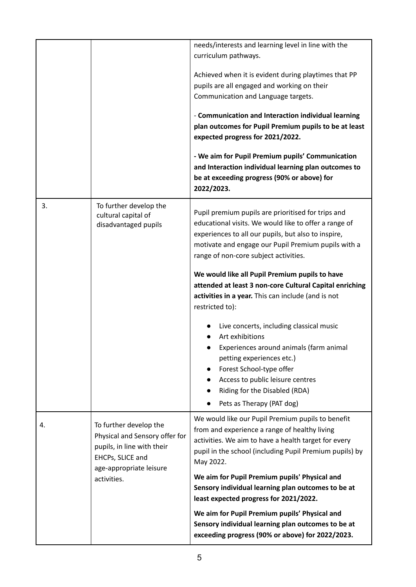|    |                                                                                                                                       | needs/interests and learning level in line with the<br>curriculum pathways.                                                                                                                                                                                        |
|----|---------------------------------------------------------------------------------------------------------------------------------------|--------------------------------------------------------------------------------------------------------------------------------------------------------------------------------------------------------------------------------------------------------------------|
|    |                                                                                                                                       | Achieved when it is evident during playtimes that PP                                                                                                                                                                                                               |
|    |                                                                                                                                       | pupils are all engaged and working on their                                                                                                                                                                                                                        |
|    |                                                                                                                                       | Communication and Language targets.                                                                                                                                                                                                                                |
|    |                                                                                                                                       | - Communication and Interaction individual learning                                                                                                                                                                                                                |
|    |                                                                                                                                       | plan outcomes for Pupil Premium pupils to be at least<br>expected progress for 2021/2022.                                                                                                                                                                          |
|    |                                                                                                                                       | - We aim for Pupil Premium pupils' Communication<br>and Interaction individual learning plan outcomes to<br>be at exceeding progress (90% or above) for<br>2022/2023.                                                                                              |
| 3. | To further develop the<br>cultural capital of<br>disadvantaged pupils                                                                 | Pupil premium pupils are prioritised for trips and<br>educational visits. We would like to offer a range of<br>experiences to all our pupils, but also to inspire,<br>motivate and engage our Pupil Premium pupils with a<br>range of non-core subject activities. |
|    |                                                                                                                                       | We would like all Pupil Premium pupils to have<br>attended at least 3 non-core Cultural Capital enriching<br>activities in a year. This can include (and is not<br>restricted to):                                                                                 |
|    |                                                                                                                                       | Live concerts, including classical music<br>Art exhibitions                                                                                                                                                                                                        |
|    |                                                                                                                                       | Experiences around animals (farm animal                                                                                                                                                                                                                            |
|    |                                                                                                                                       | petting experiences etc.)<br>Forest School-type offer                                                                                                                                                                                                              |
|    |                                                                                                                                       | Access to public leisure centres                                                                                                                                                                                                                                   |
|    |                                                                                                                                       | Riding for the Disabled (RDA)                                                                                                                                                                                                                                      |
|    |                                                                                                                                       | Pets as Therapy (PAT dog)                                                                                                                                                                                                                                          |
| 4. | To further develop the<br>Physical and Sensory offer for<br>pupils, in line with their<br>EHCPs, SLICE and<br>age-appropriate leisure | We would like our Pupil Premium pupils to benefit<br>from and experience a range of healthy living<br>activities. We aim to have a health target for every<br>pupil in the school (including Pupil Premium pupils) by<br>May 2022.                                 |
|    | activities.                                                                                                                           | We aim for Pupil Premium pupils' Physical and<br>Sensory individual learning plan outcomes to be at<br>least expected progress for 2021/2022.                                                                                                                      |
|    |                                                                                                                                       | We aim for Pupil Premium pupils' Physical and<br>Sensory individual learning plan outcomes to be at<br>exceeding progress (90% or above) for 2022/2023.                                                                                                            |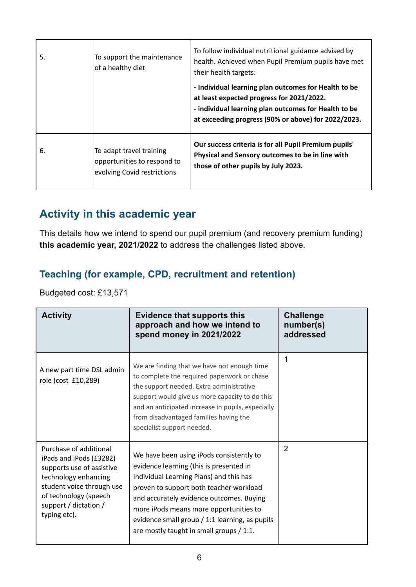| 5. | To support the maintenance<br>of a healthy diet                                        | To follow individual nutritional guidance advised by<br>health. Achieved when Pupil Premium pupils have met<br>their health targets:<br>- Individual learning plan outcomes for Health to be<br>at least expected progress for 2021/2022.<br>- individual learning plan outcomes for Health to be<br>at exceeding progress (90% or above) for 2022/2023. |
|----|----------------------------------------------------------------------------------------|----------------------------------------------------------------------------------------------------------------------------------------------------------------------------------------------------------------------------------------------------------------------------------------------------------------------------------------------------------|
| 6. | To adapt travel training<br>opportunities to respond to<br>evolving Covid restrictions | Our success criteria is for all Pupil Premium pupils'<br>Physical and Sensory outcomes to be in line with<br>those of other pupils by July 2023.                                                                                                                                                                                                         |

## **Activity in this academic year**

This details how we intend to spend our pupil premium (and recovery premium funding) **this academic year, 2021/2022** to address the challenges listed above.

#### **Teaching (for example, CPD, recruitment and retention)**

Budgeted cost: £13,571

| <b>Activity</b>                                                                                                                                                                                       | <b>Evidence that supports this</b><br>approach and how we intend to<br>spend money in 2021/2022                                                                                                                                                                                                                                                               | <b>Challenge</b><br>number(s)<br>addressed |
|-------------------------------------------------------------------------------------------------------------------------------------------------------------------------------------------------------|---------------------------------------------------------------------------------------------------------------------------------------------------------------------------------------------------------------------------------------------------------------------------------------------------------------------------------------------------------------|--------------------------------------------|
| A new part time DSL admin<br>role (cost £10,289)                                                                                                                                                      | We are finding that we have not enough time<br>to complete the required paperwork or chase<br>the support needed. Extra administrative<br>support would give us more capacity to do this<br>and an anticipated increase in pupils, especially<br>from disadvantaged families having the<br>specialist support needed.                                         | 1                                          |
| Purchase of additional<br>iPads and iPods (£3282)<br>supports use of assistive<br>technology enhancing<br>student voice through use<br>of technology (speech<br>support / dictation /<br>typing etc). | We have been using iPods consistently to<br>evidence learning (this is presented in<br>Individual Learning Plans) and this has<br>proven to support both teacher workload<br>and accurately evidence outcomes. Buying<br>more iPods means more opportunities to<br>evidence small group / 1:1 learning, as pupils<br>are mostly taught in small groups / 1:1. | $\overline{2}$                             |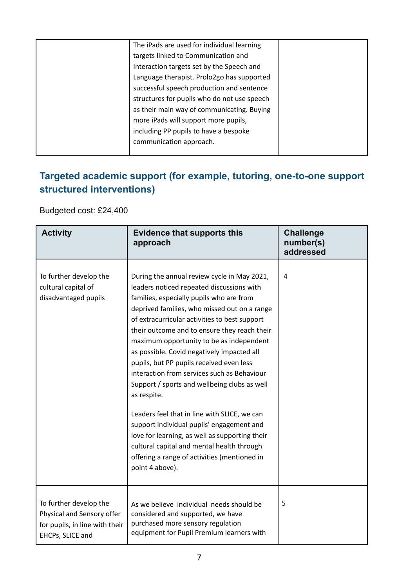| The iPads are used for individual learning  |  |
|---------------------------------------------|--|
| targets linked to Communication and         |  |
| Interaction targets set by the Speech and   |  |
| Language therapist. Prolo2go has supported  |  |
| successful speech production and sentence   |  |
| structures for pupils who do not use speech |  |
| as their main way of communicating. Buying  |  |
| more iPads will support more pupils,        |  |
| including PP pupils to have a bespoke       |  |
| communication approach.                     |  |
|                                             |  |

#### **Targeted academic support (for example, tutoring, one-to-one support structured interventions)**

Budgeted cost: £24,400

| <b>Activity</b>                                                                                            | <b>Evidence that supports this</b><br>approach                                                                                                                                                                                                                                                                                                                                                                                                                                                                                                                                                                                                                                                                                                                                                            | <b>Challenge</b><br>number(s)<br>addressed |
|------------------------------------------------------------------------------------------------------------|-----------------------------------------------------------------------------------------------------------------------------------------------------------------------------------------------------------------------------------------------------------------------------------------------------------------------------------------------------------------------------------------------------------------------------------------------------------------------------------------------------------------------------------------------------------------------------------------------------------------------------------------------------------------------------------------------------------------------------------------------------------------------------------------------------------|--------------------------------------------|
| To further develop the<br>cultural capital of<br>disadvantaged pupils                                      | During the annual review cycle in May 2021,<br>leaders noticed repeated discussions with<br>families, especially pupils who are from<br>deprived families, who missed out on a range<br>of extracurricular activities to best support<br>their outcome and to ensure they reach their<br>maximum opportunity to be as independent<br>as possible. Covid negatively impacted all<br>pupils, but PP pupils received even less<br>interaction from services such as Behaviour<br>Support / sports and wellbeing clubs as well<br>as respite.<br>Leaders feel that in line with SLICE, we can<br>support individual pupils' engagement and<br>love for learning, as well as supporting their<br>cultural capital and mental health through<br>offering a range of activities (mentioned in<br>point 4 above). | $\overline{4}$                             |
| To further develop the<br>Physical and Sensory offer<br>for pupils, in line with their<br>EHCPs, SLICE and | As we believe individual needs should be<br>considered and supported, we have<br>purchased more sensory regulation<br>equipment for Pupil Premium learners with                                                                                                                                                                                                                                                                                                                                                                                                                                                                                                                                                                                                                                           | 5                                          |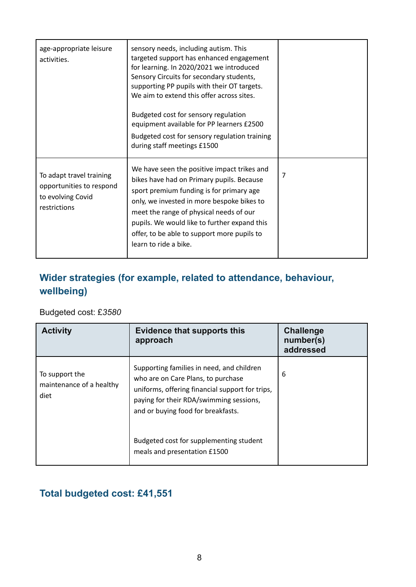| age-appropriate leisure<br>activities.                                                    | sensory needs, including autism. This<br>targeted support has enhanced engagement<br>for learning. In 2020/2021 we introduced<br>Sensory Circuits for secondary students,<br>supporting PP pupils with their OT targets.<br>We aim to extend this offer across sites.<br>Budgeted cost for sensory regulation<br>equipment available for PP learners £2500<br>Budgeted cost for sensory regulation training<br>during staff meetings £1500 |   |
|-------------------------------------------------------------------------------------------|--------------------------------------------------------------------------------------------------------------------------------------------------------------------------------------------------------------------------------------------------------------------------------------------------------------------------------------------------------------------------------------------------------------------------------------------|---|
| To adapt travel training<br>opportunities to respond<br>to evolving Covid<br>restrictions | We have seen the positive impact trikes and<br>bikes have had on Primary pupils. Because<br>sport premium funding is for primary age<br>only, we invested in more bespoke bikes to<br>meet the range of physical needs of our<br>pupils. We would like to further expand this<br>offer, to be able to support more pupils to<br>learn to ride a bike.                                                                                      | 7 |

## **Wider strategies (for example, related to attendance, behaviour, wellbeing)**

#### Budgeted cost: £*3580*

| <b>Activity</b>                                    | <b>Evidence that supports this</b><br>approach                                                                                                                                                                      | <b>Challenge</b><br>number(s)<br>addressed |
|----------------------------------------------------|---------------------------------------------------------------------------------------------------------------------------------------------------------------------------------------------------------------------|--------------------------------------------|
| To support the<br>maintenance of a healthy<br>diet | Supporting families in need, and children<br>who are on Care Plans, to purchase<br>uniforms, offering financial support for trips,<br>paying for their RDA/swimming sessions,<br>and or buying food for breakfasts. | 6                                          |
|                                                    | Budgeted cost for supplementing student<br>meals and presentation £1500                                                                                                                                             |                                            |

#### **Total budgeted cost: £41,551**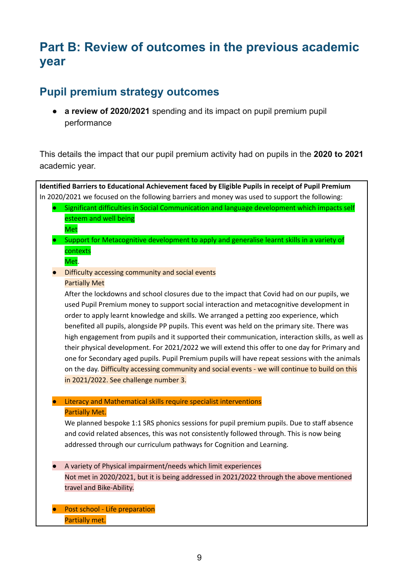# **Part B: Review of outcomes in the previous academic year**

#### **Pupil premium strategy outcomes**

● **a review of 2020/2021** spending and its impact on pupil premium pupil performance

This details the impact that our pupil premium activity had on pupils in the **2020 to 2021** academic year.

**Identified Barriers to Educational Achievement faced by Eligible Pupils in receipt of Pupil Premium** In 2020/2021 we focused on the following barriers and money was used to support the following: ● Significant difficulties in Social Communication and language development which impacts self esteem and well being Met ● Support for Metacognitive development to apply and generalise learnt skills in a variety of contexts Met. ● Difficulty accessing community and social events Partially Met After the lockdowns and school closures due to the impact that Covid had on our pupils, we used Pupil Premium money to support social interaction and metacognitive development in order to apply learnt knowledge and skills. We arranged a petting zoo experience, which benefited all pupils, alongside PP pupils. This event was held on the primary site. There was high engagement from pupils and it supported their communication, interaction skills, as well as their physical development. For 2021/2022 we will extend this offer to one day for Primary and one for Secondary aged pupils. Pupil Premium pupils will have repeat sessions with the animals on the day. Difficulty accessing community and social events - we will continue to build on this in 2021/2022. See challenge number 3. ● Literacy and Mathematical skills require specialist interventions Partially Met. We planned bespoke 1:1 SRS phonics sessions for pupil premium pupils. Due to staff absence and covid related absences, this was not consistently followed through. This is now being addressed through our curriculum pathways for Cognition and Learning. ● A variety of Physical impairment/needs which limit experiences Not met in 2020/2021, but it is being addressed in 2021/2022 through the above mentioned travel and Bike-Ability. ● Post school - Life preparation Partially met.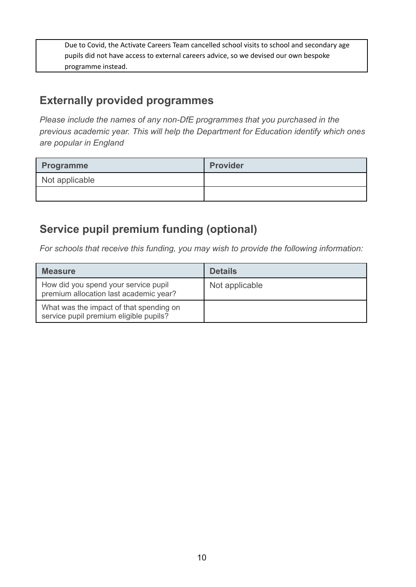Due to Covid, the Activate Careers Team cancelled school visits to school and secondary age pupils did not have access to external careers advice, so we devised our own bespoke programme instead.

## **Externally provided programmes**

*Please include the names of any non-DfE programmes that you purchased in the previous academic year. This will help the Department for Education identify which ones are popular in England*

| Programme      | <b>Provider</b> |
|----------------|-----------------|
| Not applicable |                 |
|                |                 |

# **Service pupil premium funding (optional)**

*For schools that receive this funding, you may wish to provide the following information:*

| <b>Measure</b>                                                                    | <b>Details</b> |
|-----------------------------------------------------------------------------------|----------------|
| How did you spend your service pupil<br>premium allocation last academic year?    | Not applicable |
| What was the impact of that spending on<br>service pupil premium eligible pupils? |                |